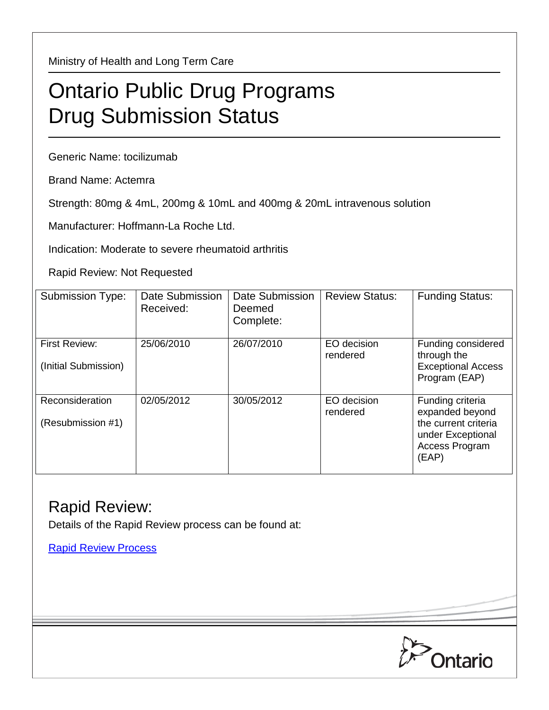Ministry of Health and Long Term Care

## Ontario Public Drug Programs Drug Submission Status

Generic Name: tocilizumab

Brand Name: Actemra

Strength: 80mg & 4mL, 200mg & 10mL and 400mg & 20mL intravenous solution

Manufacturer: Hoffmann-La Roche Ltd.

Indication: Moderate to severe rheumatoid arthritis

Rapid Review: Not Requested

| Submission Type:                      | Date Submission<br>Received: | Date Submission<br>Deemed<br>Complete: | <b>Review Status:</b>   | <b>Funding Status:</b>                                                                                      |
|---------------------------------------|------------------------------|----------------------------------------|-------------------------|-------------------------------------------------------------------------------------------------------------|
| First Review:<br>(Initial Submission) | 25/06/2010                   | 26/07/2010                             | EO decision<br>rendered | Funding considered<br>through the<br><b>Exceptional Access</b><br>Program (EAP)                             |
| Reconsideration<br>(Resubmission #1)  | 02/05/2012                   | 30/05/2012                             | EO decision<br>rendered | Funding criteria<br>expanded beyond<br>the current criteria<br>under Exceptional<br>Access Program<br>(EAP) |

## Rapid Review:

Details of the Rapid Review process can be found at:

[Rapid Review Process](http://www.health.gov.on.ca/en/pro/programs/drugs/drug_submissions/rapid_review_process.aspx)